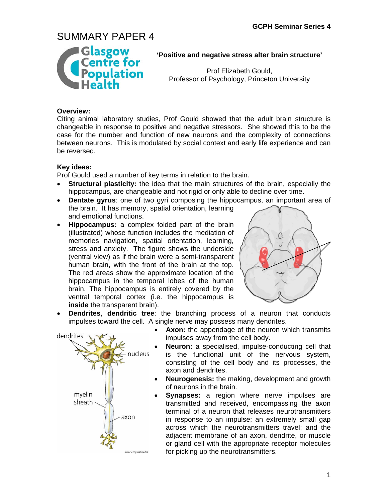

### **'Positive and negative stress alter brain structure'**

Prof Elizabeth Gould, Professor of Psychology, Princeton University

### **Overview:**

Citing animal laboratory studies, Prof Gould showed that the adult brain structure is changeable in response to positive and negative stressors. She showed this to be the case for the number and function of new neurons and the complexity of connections between neurons. This is modulated by social context and early life experience and can be reversed.

### **Key ideas:**

Prof Gould used a number of key terms in relation to the brain.

- **Structural plasticity:** the idea that the main structures of the brain, especially the hippocampus, are changeable and not rigid or only able to decline over time.
- **Dentate gyrus**: one of two gyri composing the hippocampus, an important area of the brain. It has memory, spatial orientation, learning and emotional functions.
- **Hippocampus:** a complex folded part of the brain (illustrated) whose function includes the mediation of memories navigation, spatial orientation, learning, stress and anxiety. The figure shows the underside (ventral view) as if the brain were a semi-transparent human brain, with the front of the brain at the top. The red areas show the approximate location of the hippocampus in the temporal lobes of the human brain. The hippocampus is entirely covered by the ventral temporal cortex (i.e. the hippocampus is **inside** the transparent brain).



• **Dendrites**, **dendritic tree**: the branching process of a neuron that conducts impulses toward the cell. A single nerve may possess many dendrites.



- **Axon:** the appendage of the neuron which transmits impulses away from the cell body.
- **Neuron:** a specialised, impulse-conducting cell that is the functional unit of the nervous system, consisting of the cell body and its processes, the axon and dendrites.
- **Neurogenesis:** the making, development and growth of neurons in the brain.
- **Synapses:** a region where nerve impulses are transmitted and received, encompassing the axon terminal of a neuron that releases neurotransmitters in response to an impulse; an extremely small gap across which the neurotransmitters travel; and the adjacent membrane of an axon, dendrite, or muscle or gland cell with the appropriate receptor molecules for picking up the neurotransmitters.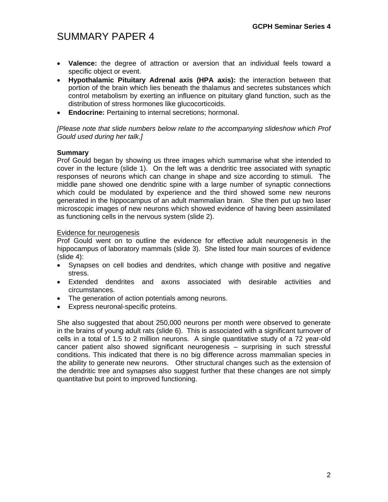- **Valence:** the degree of attraction or aversion that an individual feels toward a specific object or event.
- **Hypothalamic Pituitary Adrenal axis (HPA axis):** the interaction between that portion of the brain which lies beneath the thalamus and secretes substances which control metabolism by exerting an influence on pituitary gland function, such as the distribution of stress hormones like glucocorticoids.
- **Endocrine:** Pertaining to internal secretions; hormonal.

*[Please note that slide numbers below relate to the accompanying slideshow which Prof Gould used during her talk.]* 

### **Summary**

Prof Gould began by showing us three images which summarise what she intended to cover in the lecture (slide 1). On the left was a dendritic tree associated with synaptic responses of neurons which can change in shape and size according to stimuli. The middle pane showed one dendritic spine with a large number of synaptic connections which could be modulated by experience and the third showed some new neurons generated in the hippocampus of an adult mammalian brain. She then put up two laser microscopic images of new neurons which showed evidence of having been assimilated as functioning cells in the nervous system (slide 2).

#### Evidence for neurogenesis

Prof Gould went on to outline the evidence for effective adult neurogenesis in the hippocampus of laboratory mammals (slide 3). She listed four main sources of evidence  $(s$ lide 4):

- Synapses on cell bodies and dendrites, which change with positive and negative stress.
- Extended dendrites and axons associated with desirable activities and circumstances.
- The generation of action potentials among neurons.
- Express neuronal-specific proteins.

She also suggested that about 250,000 neurons per month were observed to generate in the brains of young adult rats (slide 6). This is associated with a significant turnover of cells in a total of 1.5 to 2 million neurons. A single quantitative study of a 72 year-old cancer patient also showed significant neurogenesis – surprising in such stressful conditions. This indicated that there is no big difference across mammalian species in the ability to generate new neurons. Other structural changes such as the extension of the dendritic tree and synapses also suggest further that these changes are not simply quantitative but point to improved functioning.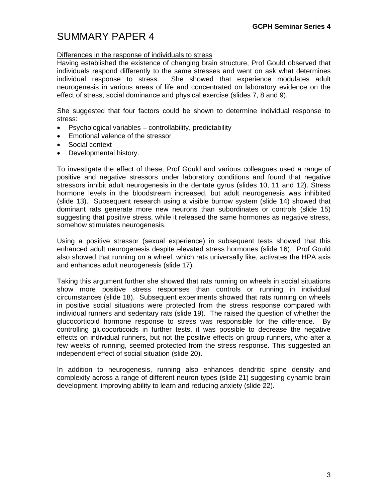## Differences in the response of individuals to stress

Having established the existence of changing brain structure, Prof Gould observed that individuals respond differently to the same stresses and went on ask what determines individual response to stress. She showed that experience modulates adult neurogenesis in various areas of life and concentrated on laboratory evidence on the effect of stress, social dominance and physical exercise (slides 7, 8 and 9).

She suggested that four factors could be shown to determine individual response to stress:

- Psychological variables controllability, predictability
- Emotional valence of the stressor
- Social context
- Developmental history.

To investigate the effect of these, Prof Gould and various colleagues used a range of positive and negative stressors under laboratory conditions and found that negative stressors inhibit adult neurogenesis in the dentate gyrus (slides 10, 11 and 12). Stress hormone levels in the bloodstream increased, but adult neurogenesis was inhibited (slide 13). Subsequent research using a visible burrow system (slide 14) showed that dominant rats generate more new neurons than subordinates or controls (slide 15) suggesting that positive stress, while it released the same hormones as negative stress, somehow stimulates neurogenesis.

Using a positive stressor (sexual experience) in subsequent tests showed that this enhanced adult neurogenesis despite elevated stress hormones (slide 16). Prof Gould also showed that running on a wheel, which rats universally like, activates the HPA axis and enhances adult neurogenesis (slide 17).

Taking this argument further she showed that rats running on wheels in social situations show more positive stress responses than controls or running in individual circumstances (slide 18). Subsequent experiments showed that rats running on wheels in positive social situations were protected from the stress response compared with individual runners and sedentary rats (slide 19). The raised the question of whether the glucocorticoid hormone response to stress was responsible for the difference. By controlling glucocorticoids in further tests, it was possible to decrease the negative effects on individual runners, but not the positive effects on group runners, who after a few weeks of running, seemed protected from the stress response. This suggested an independent effect of social situation (slide 20).

In addition to neurogenesis, running also enhances dendritic spine density and complexity across a range of different neuron types (slide 21) suggesting dynamic brain development, improving ability to learn and reducing anxiety (slide 22).